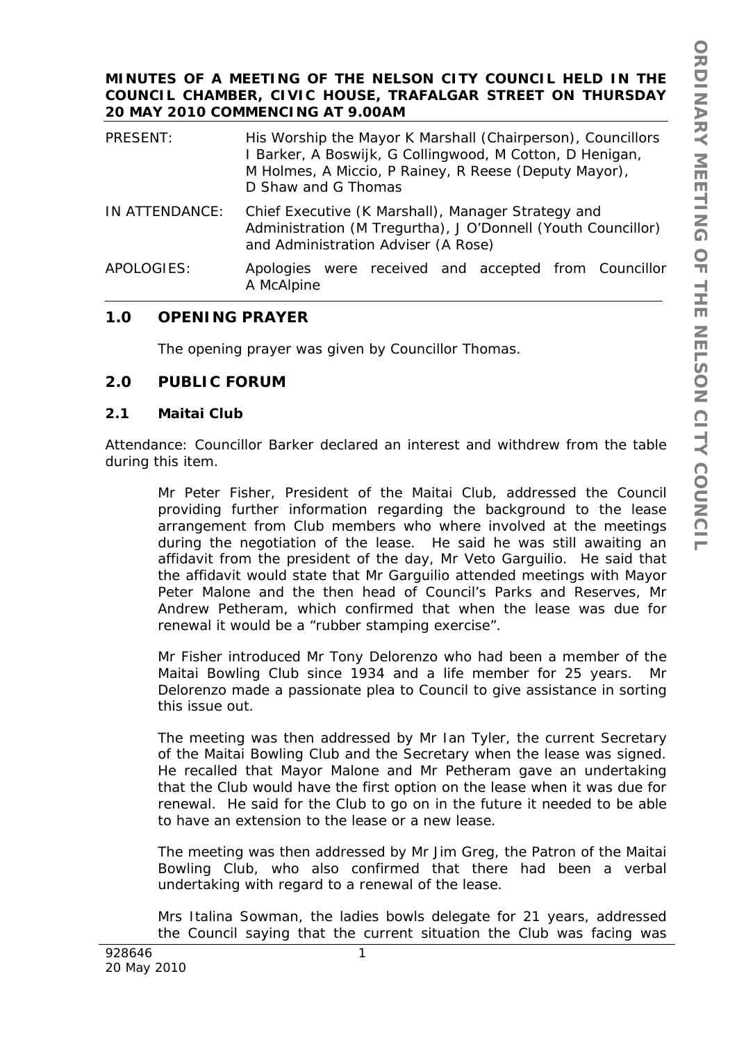### **MINUTES OF A MEETING OF THE NELSON CITY COUNCIL HELD IN THE COUNCIL CHAMBER, CIVIC HOUSE, TRAFALGAR STREET ON THURSDAY 20 MAY 2010 COMMENCING AT 9.00AM**

| PRESENT:       | His Worship the Mayor K Marshall (Chairperson), Councillors<br>I Barker, A Boswijk, G Collingwood, M Cotton, D Henigan,<br>M Holmes, A Miccio, P Rainey, R Reese (Deputy Mayor),<br>D Shaw and G Thomas |
|----------------|---------------------------------------------------------------------------------------------------------------------------------------------------------------------------------------------------------|
| IN ATTENDANCE: | Chief Executive (K Marshall), Manager Strategy and<br>Administration (M Tregurtha), J O'Donnell (Youth Councillor)<br>and Administration Adviser (A Rose)                                               |
| APOLOGIES:     | Apologies were received and accepted from Councillor<br>A McAlpine                                                                                                                                      |

# **1.0 OPENING PRAYER**

The opening prayer was given by Councillor Thomas.

# **2.0 PUBLIC FORUM**

### **2.1 Maitai Club**

Attendance: Councillor Barker declared an interest and withdrew from the table during this item.

Mr Peter Fisher, President of the Maitai Club, addressed the Council providing further information regarding the background to the lease arrangement from Club members who where involved at the meetings during the negotiation of the lease. He said he was still awaiting an affidavit from the president of the day, Mr Veto Garguilio. He said that the affidavit would state that Mr Garguilio attended meetings with Mayor Peter Malone and the then head of Council's Parks and Reserves, Mr Andrew Petheram, which confirmed that when the lease was due for renewal it would be a "rubber stamping exercise".

Mr Fisher introduced Mr Tony Delorenzo who had been a member of the Maitai Bowling Club since 1934 and a life member for 25 years. Mr Delorenzo made a passionate plea to Council to give assistance in sorting this issue out.

The meeting was then addressed by Mr Ian Tyler, the current Secretary of the Maitai Bowling Club and the Secretary when the lease was signed. He recalled that Mayor Malone and Mr Petheram gave an undertaking that the Club would have the first option on the lease when it was due for renewal. He said for the Club to go on in the future it needed to be able to have an extension to the lease or a new lease.

The meeting was then addressed by Mr Jim Greg, the Patron of the Maitai Bowling Club, who also confirmed that there had been a verbal undertaking with regard to a renewal of the lease.

Mrs Italina Sowman, the ladies bowls delegate for 21 years, addressed the Council saying that the current situation the Club was facing was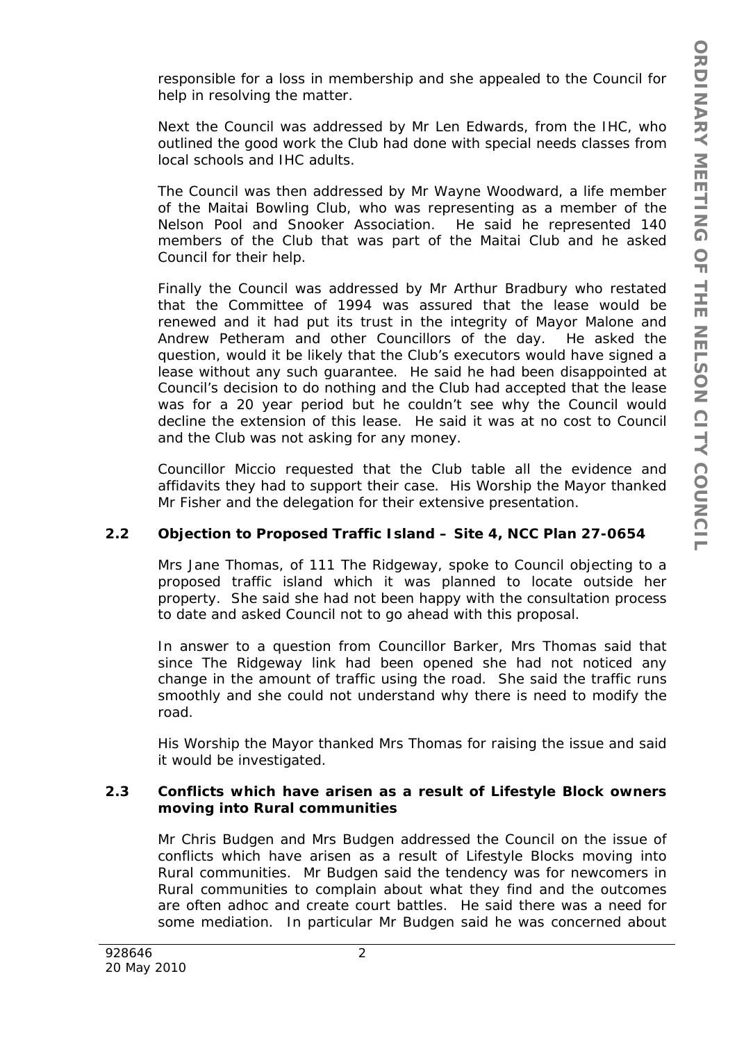responsible for a loss in membership and she appealed to the Council for help in resolving the matter.

Next the Council was addressed by Mr Len Edwards, from the IHC, who outlined the good work the Club had done with special needs classes from local schools and IHC adults.

The Council was then addressed by Mr Wayne Woodward, a life member of the Maitai Bowling Club, who was representing as a member of the Nelson Pool and Snooker Association. He said he represented 140 members of the Club that was part of the Maitai Club and he asked Council for their help.

Finally the Council was addressed by Mr Arthur Bradbury who restated that the Committee of 1994 was assured that the lease would be renewed and it had put its trust in the integrity of Mayor Malone and Andrew Petheram and other Councillors of the day. He asked the question, would it be likely that the Club's executors would have signed a lease without any such guarantee. He said he had been disappointed at Council's decision to do nothing and the Club had accepted that the lease was for a 20 year period but he couldn't see why the Council would decline the extension of this lease. He said it was at no cost to Council and the Club was not asking for any money.

Councillor Miccio requested that the Club table all the evidence and affidavits they had to support their case. His Worship the Mayor thanked Mr Fisher and the delegation for their extensive presentation.

# **2.2 Objection to Proposed Traffic Island – Site 4, NCC Plan 27-0654**

Mrs Jane Thomas, of 111 The Ridgeway, spoke to Council objecting to a proposed traffic island which it was planned to locate outside her property. She said she had not been happy with the consultation process to date and asked Council not to go ahead with this proposal.

In answer to a question from Councillor Barker, Mrs Thomas said that since The Ridgeway link had been opened she had not noticed any change in the amount of traffic using the road. She said the traffic runs smoothly and she could not understand why there is need to modify the road.

His Worship the Mayor thanked Mrs Thomas for raising the issue and said it would be investigated.

### **2.3 Conflicts which have arisen as a result of Lifestyle Block owners moving into Rural communities**

Mr Chris Budgen and Mrs Budgen addressed the Council on the issue of conflicts which have arisen as a result of Lifestyle Blocks moving into Rural communities. Mr Budgen said the tendency was for newcomers in Rural communities to complain about what they find and the outcomes are often adhoc and create court battles. He said there was a need for some mediation. In particular Mr Budgen said he was concerned about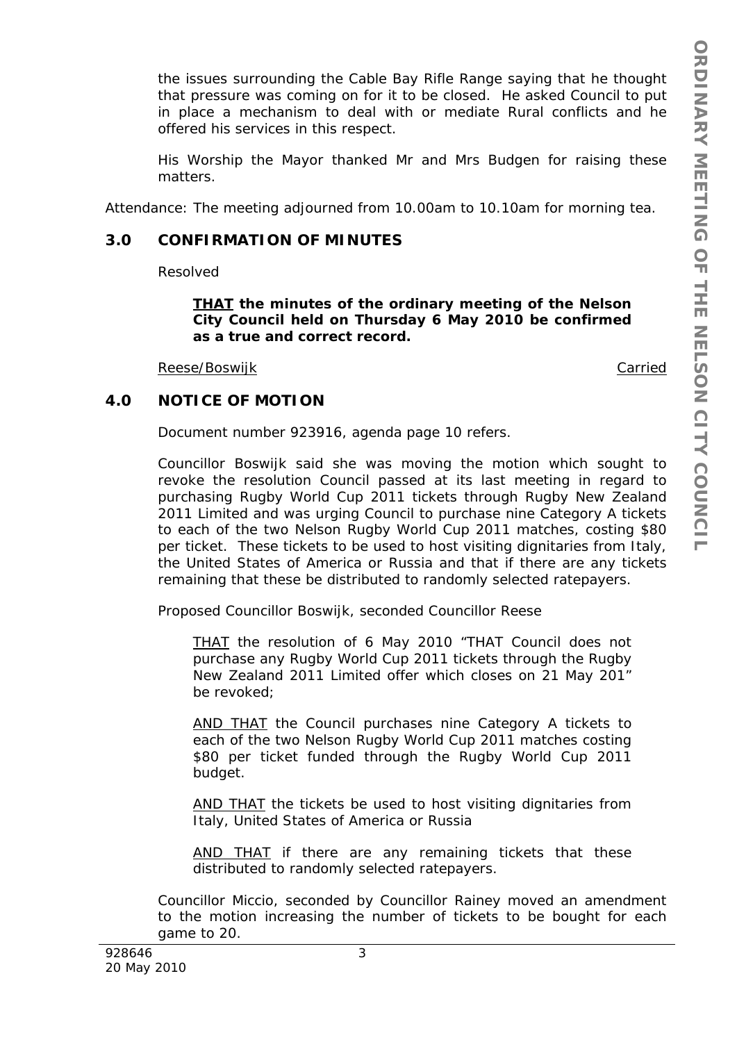the issues surrounding the Cable Bay Rifle Range saying that he thought that pressure was coming on for it to be closed. He asked Council to put in place a mechanism to deal with or mediate Rural conflicts and he offered his services in this respect.

His Worship the Mayor thanked Mr and Mrs Budgen for raising these matters.

Attendance: The meeting adjourned from 10.00am to 10.10am for morning tea.

### **3.0 CONFIRMATION OF MINUTES**

Resolved

*THAT the minutes of the ordinary meeting of the Nelson City Council held on Thursday 6 May 2010 be confirmed as a true and correct record.* 

Reese/Boswijk Carried Carried Carried Carried Carried Carried Carried Carried Carried Carried Carried Carried Carried Carried Carried Carried Carried Carried Carried Carried Carried Carried Carried Carried Carried Carried

# **4.0 NOTICE OF MOTION**

Document number 923916, agenda page 10 refers.

Councillor Boswijk said she was moving the motion which sought to revoke the resolution Council passed at its last meeting in regard to purchasing Rugby World Cup 2011 tickets through Rugby New Zealand 2011 Limited and was urging Council to purchase nine Category A tickets to each of the two Nelson Rugby World Cup 2011 matches, costing \$80 per ticket. These tickets to be used to host visiting dignitaries from Italy, the United States of America or Russia and that if there are any tickets remaining that these be distributed to randomly selected ratepayers.

Proposed Councillor Boswijk, seconded Councillor Reese

*THAT the resolution of 6 May 2010 "THAT Council does not purchase any Rugby World Cup 2011 tickets through the Rugby New Zealand 2011 Limited offer which closes on 21 May 201" be revoked;* 

*AND THAT the Council purchases nine Category A tickets to each of the two Nelson Rugby World Cup 2011 matches costing \$80 per ticket funded through the Rugby World Cup 2011 budget.* 

*AND THAT the tickets be used to host visiting dignitaries from Italy, United States of America or Russia* 

*AND THAT if there are any remaining tickets that these distributed to randomly selected ratepayers.* 

Councillor Miccio, seconded by Councillor Rainey moved an amendment to the motion increasing the number of tickets to be bought for each game to 20.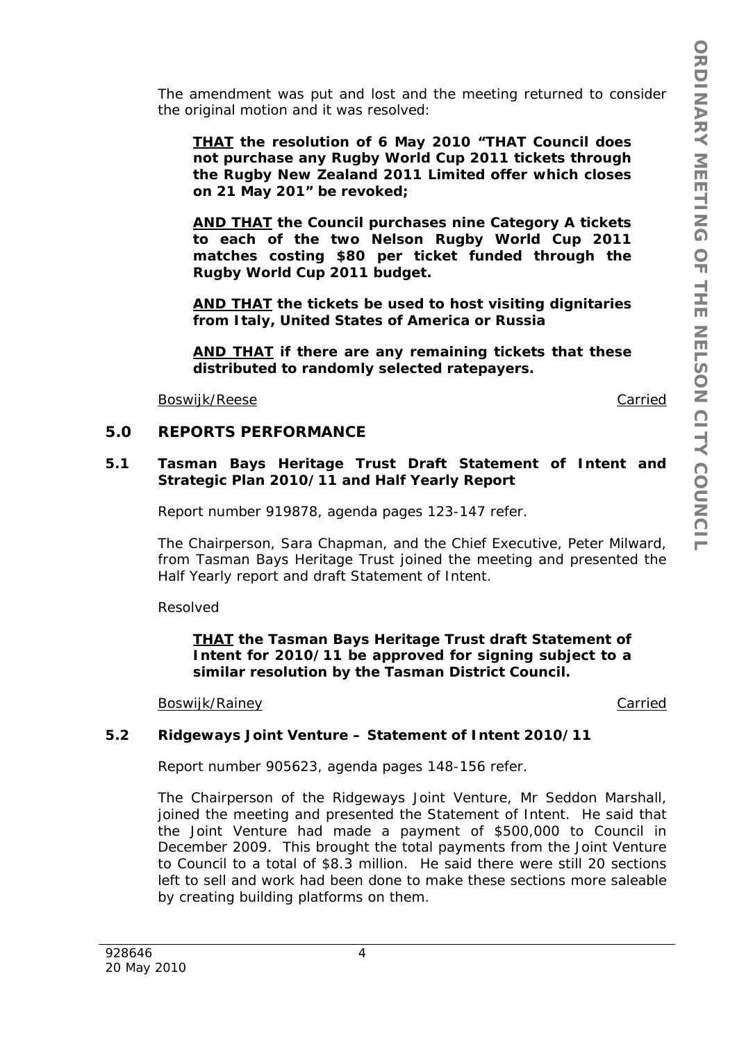The amendment was put and lost and the meeting returned to consider the original motion and it was resolved:

*THAT the resolution of 6 May 2010 "THAT Council does not purchase any Rugby World Cup 2011 tickets through the Rugby New Zealand 2011 Limited offer which closes on 21 May 201" be revoked;* 

*AND THAT the Council purchases nine Category A tickets to each of the two Nelson Rugby World Cup 2011 matches costing \$80 per ticket funded through the Rugby World Cup 2011 budget.* 

*AND THAT the tickets be used to host visiting dignitaries from Italy, United States of America or Russia* 

*AND THAT if there are any remaining tickets that these distributed to randomly selected ratepayers.* 

Boswijk/Reese Carried

### **5.0 REPORTS PERFORMANCE**

### **5.1 Tasman Bays Heritage Trust Draft Statement of Intent and Strategic Plan 2010/11 and Half Yearly Report**

Report number 919878, agenda pages 123-147 refer.

The Chairperson, Sara Chapman, and the Chief Executive, Peter Milward, from Tasman Bays Heritage Trust joined the meeting and presented the Half Yearly report and draft Statement of Intent.

Resolved

### *THAT the Tasman Bays Heritage Trust draft Statement of Intent for 2010/11 be approved for signing subject to a similar resolution by the Tasman District Council.*

Boswijk/Rainey **Carried** Carried Carried Carried Carried Carried Carried Carried Carried Carried Carried Carried Carried Carried Carried Carried Carried Carried Carried Carried Carried Carried Carried Carried Carried Carri

### **5.2 Ridgeways Joint Venture – Statement of Intent 2010/11**

Report number 905623, agenda pages 148-156 refer.

The Chairperson of the Ridgeways Joint Venture, Mr Seddon Marshall, joined the meeting and presented the Statement of Intent. He said that the Joint Venture had made a payment of \$500,000 to Council in December 2009. This brought the total payments from the Joint Venture to Council to a total of \$8.3 million. He said there were still 20 sections left to sell and work had been done to make these sections more saleable by creating building platforms on them.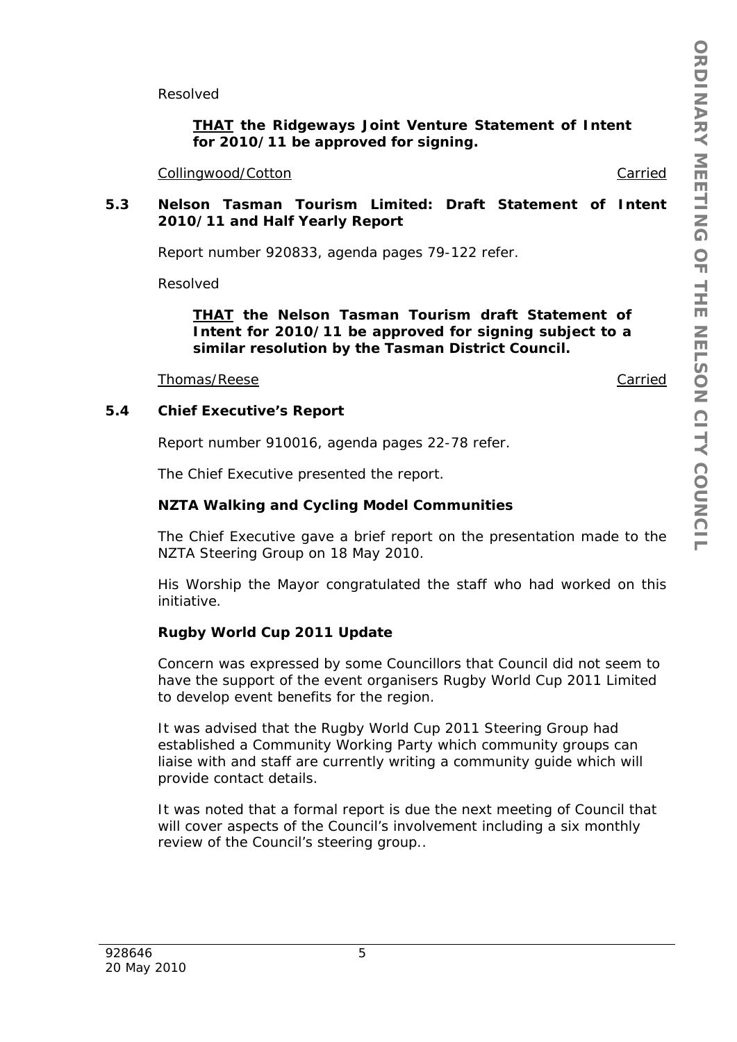Resolved

# *THAT the Ridgeways Joint Venture Statement of Intent for 2010/11 be approved for signing.*

Collingwood/Cotton **Carried** Collingwood/Cotton **Carried** 

### **5.3 Nelson Tasman Tourism Limited: Draft Statement of Intent 2010/11 and Half Yearly Report**

Report number 920833, agenda pages 79-122 refer.

Resolved

### *THAT the Nelson Tasman Tourism draft Statement of Intent for 2010/11 be approved for signing subject to a similar resolution by the Tasman District Council.*

Thomas/Reese Carried Carried Carried Carried Carried Carried Carried Carried Carried Carried Carried Carried Carried Carried Carried Carried Carried Carried Carried Carried Carried Carried Carried Carried Carried Carried C

### **5.4 Chief Executive's Report**

Report number 910016, agenda pages 22-78 refer.

The Chief Executive presented the report.

#### **NZTA Walking and Cycling Model Communities**

The Chief Executive gave a brief report on the presentation made to the NZTA Steering Group on 18 May 2010.

His Worship the Mayor congratulated the staff who had worked on this initiative.

### **Rugby World Cup 2011 Update**

Concern was expressed by some Councillors that Council did not seem to have the support of the event organisers Rugby World Cup 2011 Limited to develop event benefits for the region.

It was advised that the Rugby World Cup 2011 Steering Group had established a Community Working Party which community groups can liaise with and staff are currently writing a community guide which will provide contact details.

It was noted that a formal report is due the next meeting of Council that will cover aspects of the Council's involvement including a six monthly review of the Council's steering group..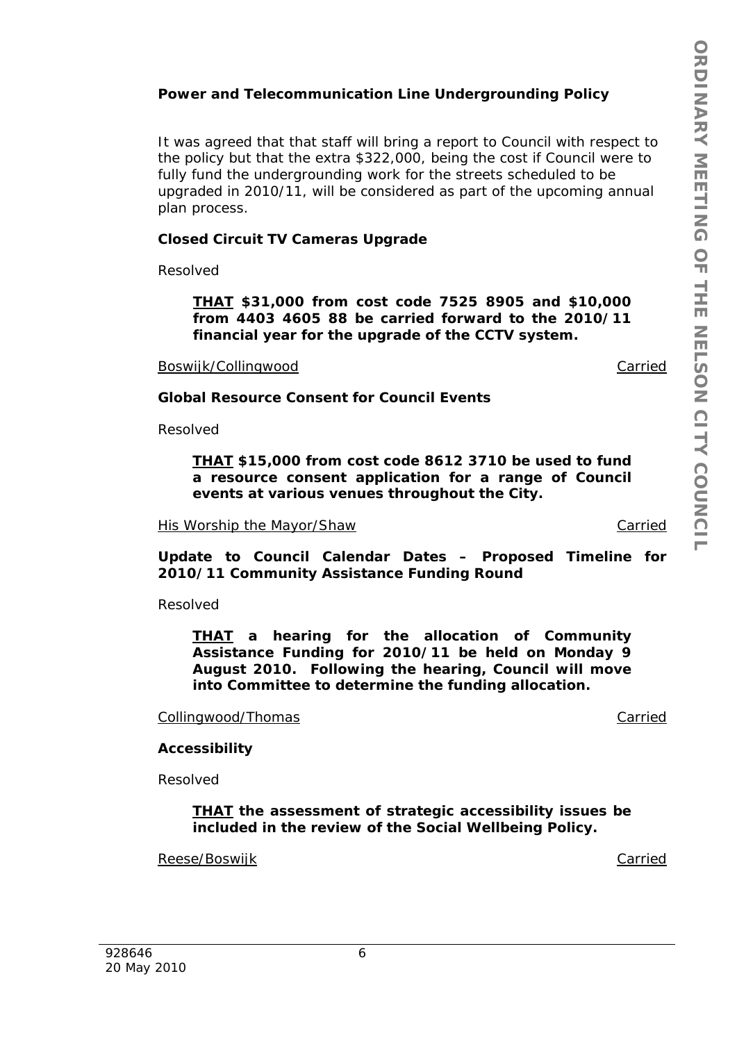# **Power and Telecommunication Line Undergrounding Policy**

It was agreed that that staff will bring a report to Council with respect to the policy but that the extra \$322,000, being the cost if Council were to fully fund the undergrounding work for the streets scheduled to be upgraded in 2010/11, will be considered as part of the upcoming annual plan process.

#### **Closed Circuit TV Cameras Upgrade**

Resolved

*THAT \$31,000 from cost code 7525 8905 and \$10,000 from 4403 4605 88 be carried forward to the 2010/11 financial year for the upgrade of the CCTV system.* 

Boswijk/Collingwood **Carried** Carried

**Global Resource Consent for Council Events** 

Resolved

*THAT \$15,000 from cost code 8612 3710 be used to fund a resource consent application for a range of Council events at various venues throughout the City.* 

His Worship the Mayor/Shaw Carried Carried

**Update to Council Calendar Dates – Proposed Timeline for 2010/11 Community Assistance Funding Round** 

Resolved

*THAT a hearing for the allocation of Community Assistance Funding for 2010/11 be held on Monday 9 August 2010. Following the hearing, Council will move into Committee to determine the funding allocation.* 

Collingwood/Thomas collingwood/Thomas collingwood carried

#### **Accessibility**

Resolved

*THAT the assessment of strategic accessibility issues be included in the review of the Social Wellbeing Policy.* 

Reese/Boswijk Carried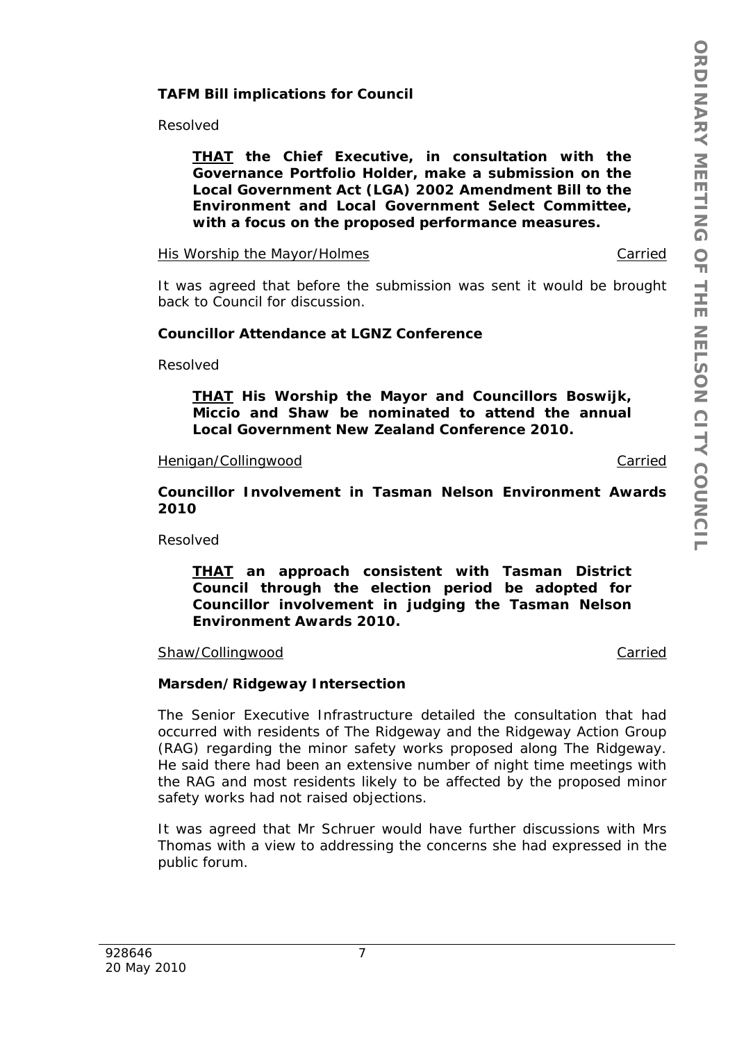### **TAFM Bill implications for Council**

Resolved

*THAT the Chief Executive, in consultation with the Governance Portfolio Holder, make a submission on the Local Government Act (LGA) 2002 Amendment Bill to the Environment and Local Government Select Committee, with a focus on the proposed performance measures.* 

His Worship the Mayor/Holmes Carried Carried

It was agreed that before the submission was sent it would be brought back to Council for discussion.

### **Councillor Attendance at LGNZ Conference**

Resolved

*THAT His Worship the Mayor and Councillors Boswijk, Miccio and Shaw be nominated to attend the annual Local Government New Zealand Conference 2010.* 

#### Henigan/Collingwood Carried

**Councillor Involvement in Tasman Nelson Environment Awards 2010** 

Resolved

*THAT an approach consistent with Tasman District Council through the election period be adopted for Councillor involvement in judging the Tasman Nelson Environment Awards 2010.* 

Shaw/Collingwood **Carried** Carried Carried Carried Carried Carried Carried Carried Carried Carried Carried Carried Carried Carried Carried Carried Carried Carried Carried Carried Carried Carried Carried Carried Carried Car

### **Marsden/Ridgeway Intersection**

The Senior Executive Infrastructure detailed the consultation that had occurred with residents of The Ridgeway and the Ridgeway Action Group (RAG) regarding the minor safety works proposed along The Ridgeway. He said there had been an extensive number of night time meetings with the RAG and most residents likely to be affected by the proposed minor safety works had not raised objections.

It was agreed that Mr Schruer would have further discussions with Mrs Thomas with a view to addressing the concerns she had expressed in the public forum.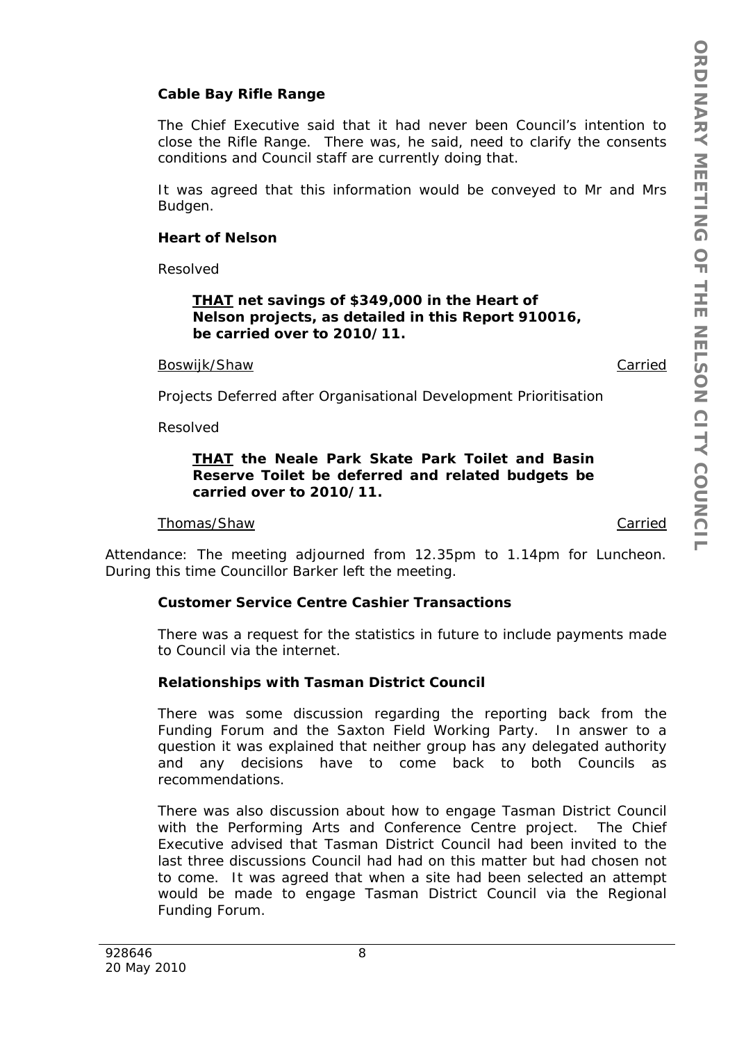# **Cable Bay Rifle Range**

The Chief Executive said that it had never been Council's intention to close the Rifle Range. There was, he said, need to clarify the consents conditions and Council staff are currently doing that.

It was agreed that this information would be conveyed to Mr and Mrs Budgen.

### **Heart of Nelson**

Resolved

### *THAT net savings of \$349,000 in the Heart of Nelson projects, as detailed in this Report 910016, be carried over to 2010/11.*

#### Boswijk/Shaw Carried

Projects Deferred after Organisational Development Prioritisation

Resolved

### *THAT the Neale Park Skate Park Toilet and Basin Reserve Toilet be deferred and related budgets be carried over to 2010/11.*

### Thomas/Shaw Carried

Attendance: The meeting adjourned from 12.35pm to 1.14pm for Luncheon. During this time Councillor Barker left the meeting.

# **Customer Service Centre Cashier Transactions**

There was a request for the statistics in future to include payments made to Council via the internet.

# **Relationships with Tasman District Council**

There was some discussion regarding the reporting back from the Funding Forum and the Saxton Field Working Party. In answer to a question it was explained that neither group has any delegated authority and any decisions have to come back to both Councils as recommendations.

There was also discussion about how to engage Tasman District Council with the Performing Arts and Conference Centre project. The Chief Executive advised that Tasman District Council had been invited to the last three discussions Council had had on this matter but had chosen not to come. It was agreed that when a site had been selected an attempt would be made to engage Tasman District Council via the Regional Funding Forum.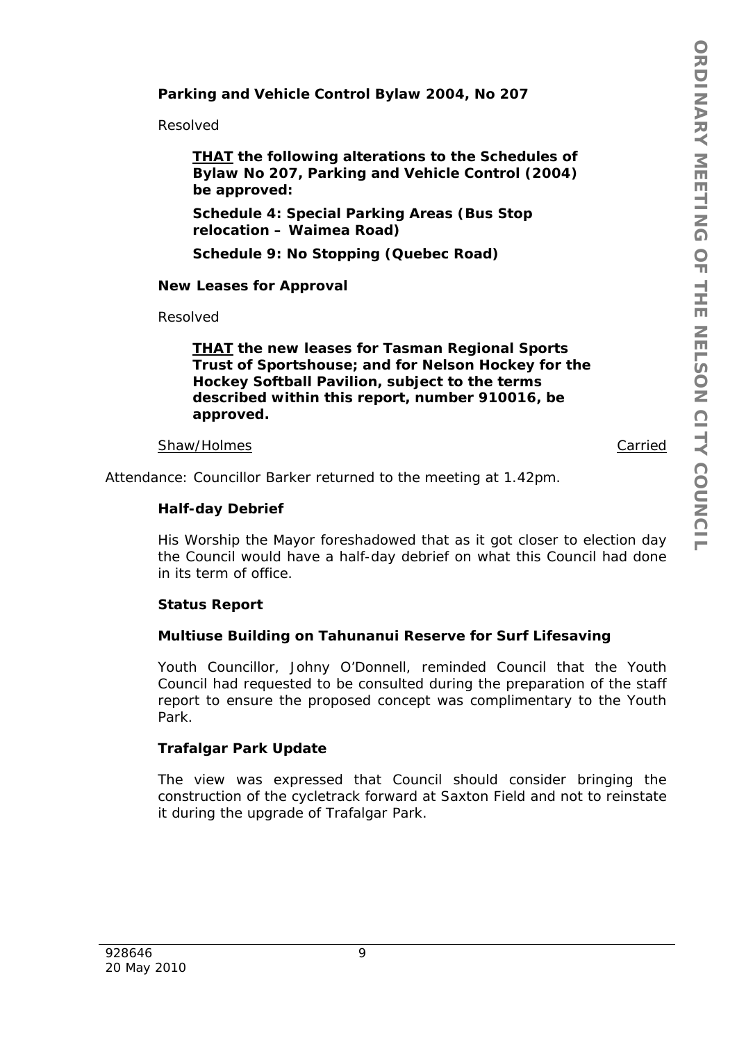# **Parking and Vehicle Control Bylaw 2004, No 207**

Resolved

*THAT the following alterations to the Schedules of Bylaw No 207, Parking and Vehicle Control (2004) be approved:* 

*Schedule 4: Special Parking Areas (Bus Stop relocation – Waimea Road)* 

*Schedule 9: No Stopping (Quebec Road)* 

### **New Leases for Approval**

Resolved

### *THAT the new leases for Tasman Regional Sports Trust of Sportshouse; and for Nelson Hockey for the Hockey Softball Pavilion, subject to the terms described within this report, number 910016, be approved.*

#### Shaw/Holmes **Carried**

Attendance: Councillor Barker returned to the meeting at 1.42pm.

# **Half-day Debrief**

His Worship the Mayor foreshadowed that as it got closer to election day the Council would have a half-day debrief on what this Council had done in its term of office.

# **Status Report**

# **Multiuse Building on Tahunanui Reserve for Surf Lifesaving**

Youth Councillor, Johny O'Donnell, reminded Council that the Youth Council had requested to be consulted during the preparation of the staff report to ensure the proposed concept was complimentary to the Youth Park.

# **Trafalgar Park Update**

The view was expressed that Council should consider bringing the construction of the cycletrack forward at Saxton Field and not to reinstate it during the upgrade of Trafalgar Park.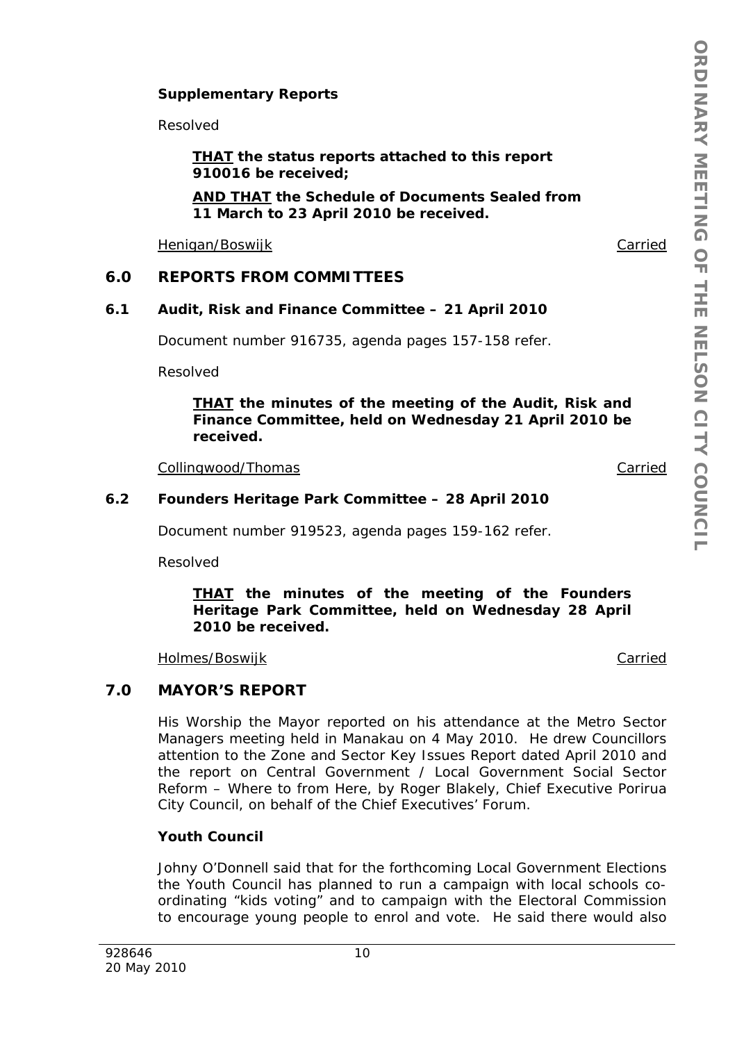### **Supplementary Reports**

Resolved

*THAT the status reports attached to this report 910016 be received;* 

*AND THAT the Schedule of Documents Sealed from 11 March to 23 April 2010 be received.* 

Henigan/Boswijk Carried

### **6.0 REPORTS FROM COMMITTEES**

#### **6.1 Audit, Risk and Finance Committee – 21 April 2010**

Document number 916735, agenda pages 157-158 refer.

Resolved

*THAT the minutes of the meeting of the Audit, Risk and Finance Committee, held on Wednesday 21 April 2010 be received.* 

Collingwood/Thomas Carried

#### **6.2 Founders Heritage Park Committee – 28 April 2010**

Document number 919523, agenda pages 159-162 refer.

Resolved

#### *THAT the minutes of the meeting of the Founders Heritage Park Committee, held on Wednesday 28 April 2010 be received.*

Holmes/Boswijk Carried

# **7.0 MAYOR'S REPORT**

His Worship the Mayor reported on his attendance at the Metro Sector Managers meeting held in Manakau on 4 May 2010. He drew Councillors attention to the Zone and Sector Key Issues Report dated April 2010 and the report on Central Government / Local Government Social Sector Reform – Where to from Here, by Roger Blakely, Chief Executive Porirua City Council, on behalf of the Chief Executives' Forum.

#### **Youth Council**

Johny O'Donnell said that for the forthcoming Local Government Elections the Youth Council has planned to run a campaign with local schools coordinating "kids voting" and to campaign with the Electoral Commission to encourage young people to enrol and vote. He said there would also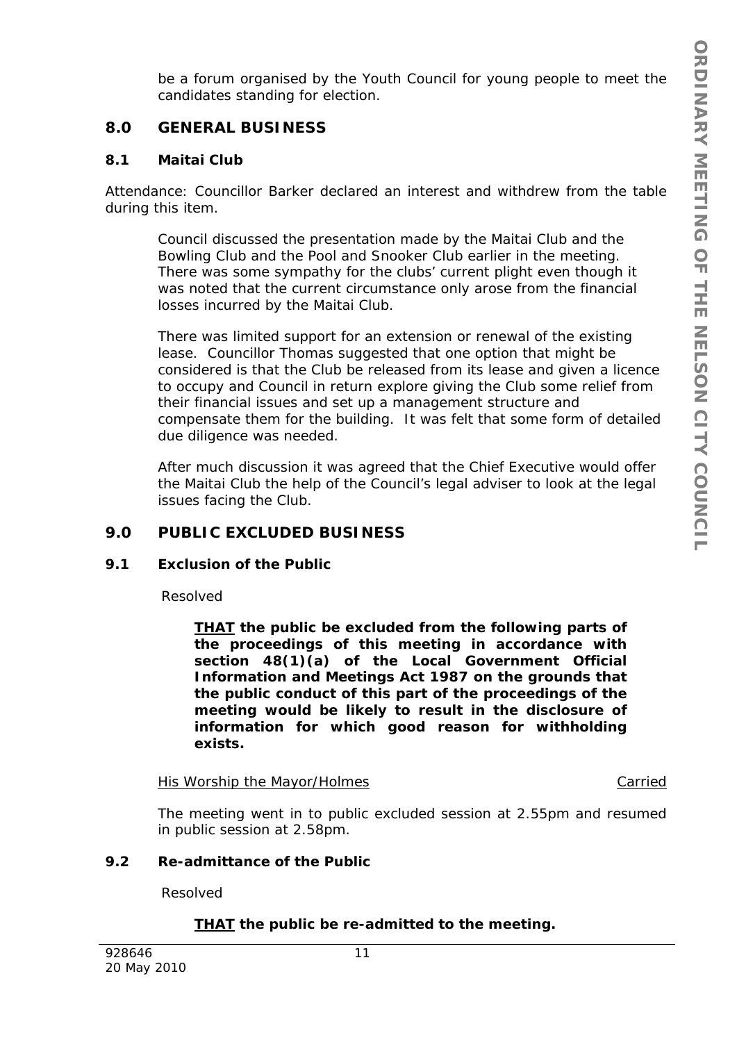be a forum organised by the Youth Council for young people to meet the candidates standing for election.

# **8.0 GENERAL BUSINESS**

### **8.1 Maitai Club**

Attendance: Councillor Barker declared an interest and withdrew from the table during this item.

Council discussed the presentation made by the Maitai Club and the Bowling Club and the Pool and Snooker Club earlier in the meeting. There was some sympathy for the clubs' current plight even though it was noted that the current circumstance only arose from the financial losses incurred by the Maitai Club.

There was limited support for an extension or renewal of the existing lease. Councillor Thomas suggested that one option that might be considered is that the Club be released from its lease and given a licence to occupy and Council in return explore giving the Club some relief from their financial issues and set up a management structure and compensate them for the building. It was felt that some form of detailed due diligence was needed.

After much discussion it was agreed that the Chief Executive would offer the Maitai Club the help of the Council's legal adviser to look at the legal issues facing the Club.

# **9.0 PUBLIC EXCLUDED BUSINESS**

### **9.1 Exclusion of the Public**

Resolved

*THAT the public be excluded from the following parts of the proceedings of this meeting in accordance with section 48(1)(a) of the Local Government Official Information and Meetings Act 1987 on the grounds that the public conduct of this part of the proceedings of the meeting would be likely to result in the disclosure of information for which good reason for withholding exists.* 

His Worship the Mayor/Holmes Carried Carried

The meeting went in to public excluded session at 2.55pm and resumed in public session at 2.58pm.

### **9.2 Re-admittance of the Public**

Resolved

### *THAT the public be re-admitted to the meeting.*